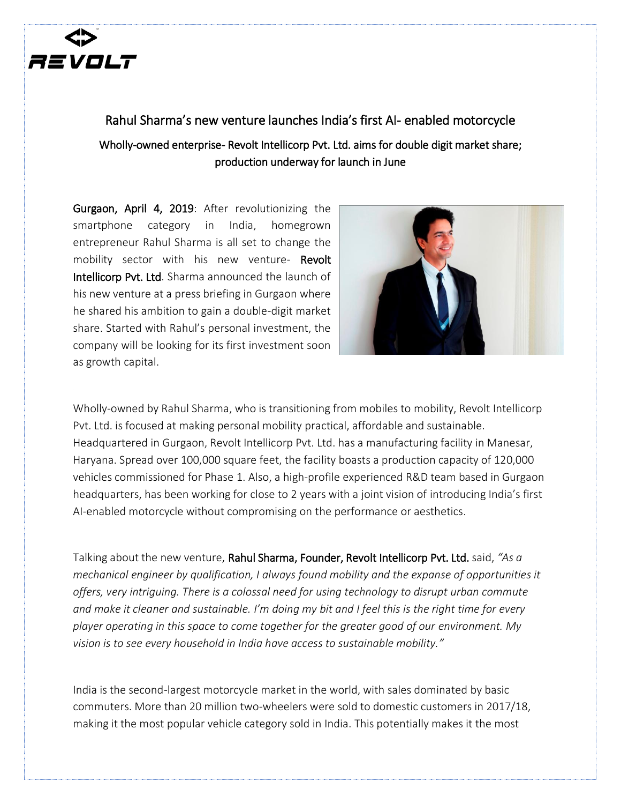

## Rahul Sharma's new venture launches India's first AI- enabled motorcycle Wholly-owned enterprise- Revolt Intellicorp Pvt. Ltd. aims for double digit market share; production underway for launch in June

Gurgaon, April 4, 2019: After revolutionizing the smartphone category in India, homegrown entrepreneur Rahul Sharma is all set to change the mobility sector with his new venture- Revolt Intellicorp Pvt. Ltd. Sharma announced the launch of his new venture at a press briefing in Gurgaon where he shared his ambition to gain a double-digit market share. Started with Rahul's personal investment, the company will be looking for its first investment soon as growth capital.



Wholly-owned by Rahul Sharma, who is transitioning from mobiles to mobility, Revolt Intellicorp Pvt. Ltd. is focused at making personal mobility practical, affordable and sustainable. Headquartered in Gurgaon, Revolt Intellicorp Pvt. Ltd. has a manufacturing facility in Manesar, Haryana. Spread over 100,000 square feet, the facility boasts a production capacity of 120,000 vehicles commissioned for Phase 1. Also, a high-profile experienced R&D team based in Gurgaon headquarters, has been working for close to 2 years with a joint vision of introducing India's first AI-enabled motorcycle without compromising on the performance or aesthetics.

Talking about the new venture, Rahul Sharma, Founder, Revolt Intellicorp Pvt. Ltd. said, *"As a mechanical engineer by qualification, I always found mobility and the expanse of opportunities it offers, very intriguing. There is a colossal need for using technology to disrupt urban commute and make it cleaner and sustainable. I'm doing my bit and I feel this is the right time for every player operating in this space to come together for the greater good of our environment. My vision is to see every household in India have access to sustainable mobility."*

India is the second-largest motorcycle market in the world, with sales dominated by basic commuters. More than 20 million two-wheelers were sold to domestic customers in 2017/18, making it the most popular vehicle category sold in India. This potentially makes it the most